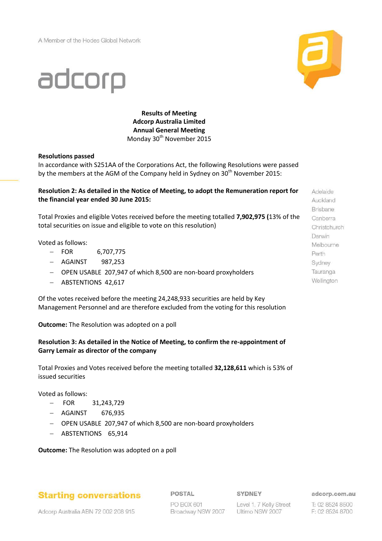A Member of the Hodes Global Network



# adcorp

**Results of Meeting Adcorp Australia Limited Annual General Meeting** Monday 30<sup>th</sup> November 2015

#### **Resolutions passed**

In accordance with S251AA of the Corporations Act, the following Resolutions were passed by the members at the AGM of the Company held in Sydney on  $30<sup>th</sup>$  November 2015:

### **Resolution 2: As detailed in the Notice of Meeting, to adopt the Remuneration report for the financial year ended 30 June 2015:**

Total Proxies and eligible Votes received before the meeting totalled **7,902,975 (**13% of the total securities on issue and eligible to vote on this resolution)

Voted as follows:

- $-$  FOR 6,707,775
- AGAINST 987,253
- OPEN USABLE 207,947 of which 8,500 are non-board proxyholders
- ABSTENTIONS 42,617

Of the votes received before the meeting 24,248,933 securities are held by Key Management Personnel and are therefore excluded from the voting for this resolution

**Outcome:** The Resolution was adopted on a poll

### **Resolution 3: As detailed in the Notice of Meeting, to confirm the re-appointment of Garry Lemair as director of the company**

Total Proxies and Votes received before the meeting totalled **32,128,611** which is 53% of issued securities

Voted as follows:

- FOR 31,243,729
- AGAINST 676,935
- OPEN USABLE 207,947 of which 8,500 are non-board proxyholders
- ABSTENTIONS 65,914

**Outcome:** The Resolution was adopted on a poll

## **Starting conversations**

POSTAL

SYDNEY

Adcorp Australia ABN 72 002 208 915

PO BOX 601 Broadway NSW 2007

Level 1, 7 Kelly Street Ultimo NSW 2007

adcorp.com.au

T: 02 8524 8500 F: 02 8524 8700

Auckland Brisbane Canberra Christchurch Darwin Melbourne Perth Sydney Tauranga Wellington

Adelaide